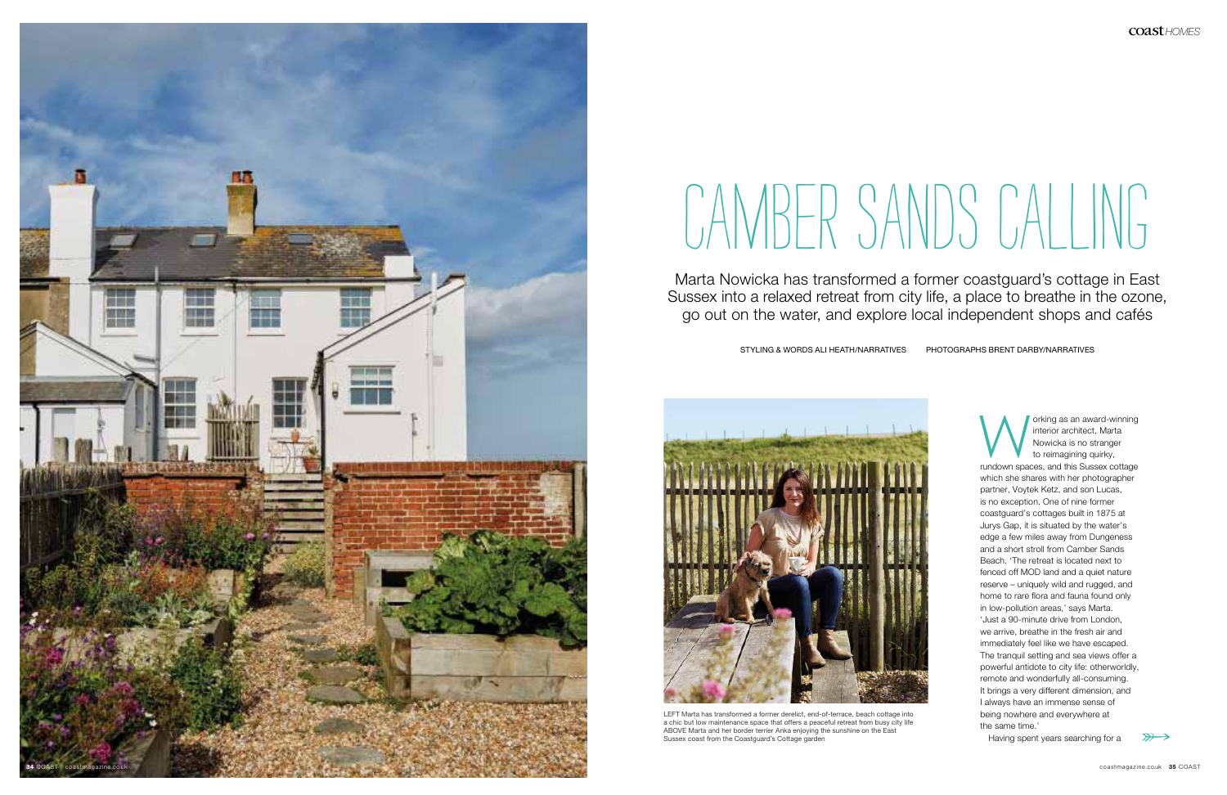

Marta Nowicka has transformed a former coastguard's cottage in East Sussex into a relaxed retreat from city life, a place to breathe in the ozone, go out on the water, and explore local independent shops and cafés

STYLING & WORDS ALI HEATH/NARRATIVES PHOTOGRAPHS BRENT DARBY/NARRATIVES

## CAMBER SANDS CALLING

**Marking as an award-winning**<br>
interior architect, Marta<br>
Nowicka is no stranger<br>
to reimagining quirky,<br>
rundown spaces, and this Sussex cottage interior architect, Marta Nowicka is no stranger to reimagining quirky, which she shares with her photographer partner, Voytek Ketz, and son Lucas, is no exception. One of nine former coastguard's cottages built in 1875 at Jurys Gap, it is situated by the water's edge a few miles away from Dungeness and a short stroll from Camber Sands Beach. 'The retreat is located next to fenced off MOD land and a quiet nature reserve – uniquely wild and rugged, and home to rare flora and fauna found only in low-pollution areas,' says Marta. 'Just a 90-minute drive from London, we arrive, breathe in the fresh air and immediately feel like we have escaped. The tranquil setting and sea views offer a powerful antidote to city life: otherworldly, remote and wonderfully all-consuming. It brings a very different dimension, and I always have an immense sense of being nowhere and everywhere at the same time.'

Having spent years searching for a





LEFT Marta has transformed a former derelict, end-of-terrace, beach cottage into a chic but low maintenance space that offers a peaceful retreat from busy city life ABOVE Marta and her border terrier Anka enjoying the sunshine on the East Sussex coast from the Coastguard's Cottage garden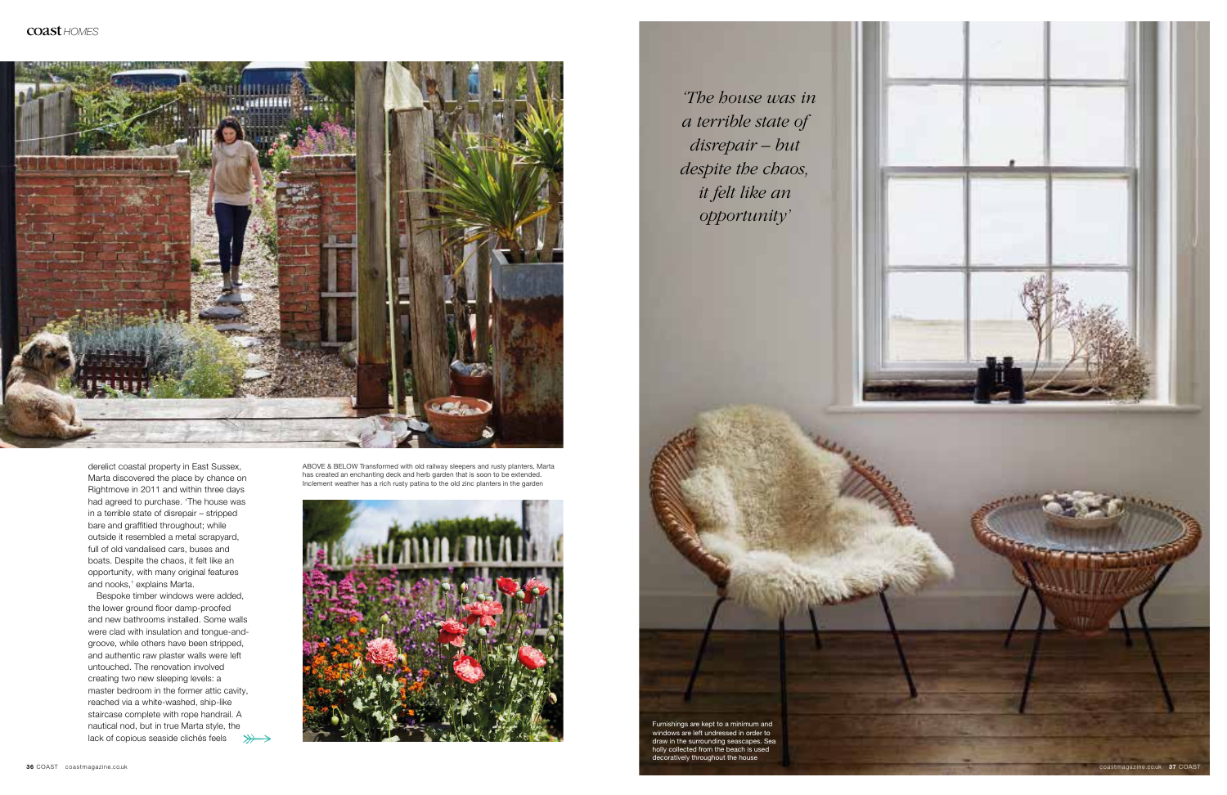



ABOVE & BELOW Transformed with old railway sleepers and rusty planters, Marta has created an enchanting deck and herb garden that is soon to be extended. Inclement weather has a rich rusty patina to the old zinc planters in the garden



Bespoke timber windows were added, the lower ground floor damp-proofed and new bathrooms installed. Some walls were clad with insulation and tongue-andgroove, while others have been stripped, and authentic raw plaster walls were left untouched. The renovation involved creating two new sleeping levels: a master bedroom in the former attic cavity, reached via a white-washed, ship-like staircase complete with rope handrail. A nautical nod, but in true Marta style, the lack of copious seaside clichés feels  $\gg\rightarrow$ 

derelict coastal property in East Sussex, Marta discovered the place by chance on Rightmove in 2011 and within three days had agreed to purchase. 'The house was in a terrible state of disrepair – stripped bare and graffitied throughout; while outside it resembled a metal scrapyard, full of old vandalised cars, buses and boats. Despite the chaos, it felt like an opportunity, with many original features and nooks,' explains Marta.

*'The house was in a terrible state of disrepair – but despite the chaos, it felt like an opportunity'*

Furnishings are kept to a minimum and windows are left undressed in order to draw in the surrounding seascapes. Sea holly collected from the beach is used decoratively throughout the house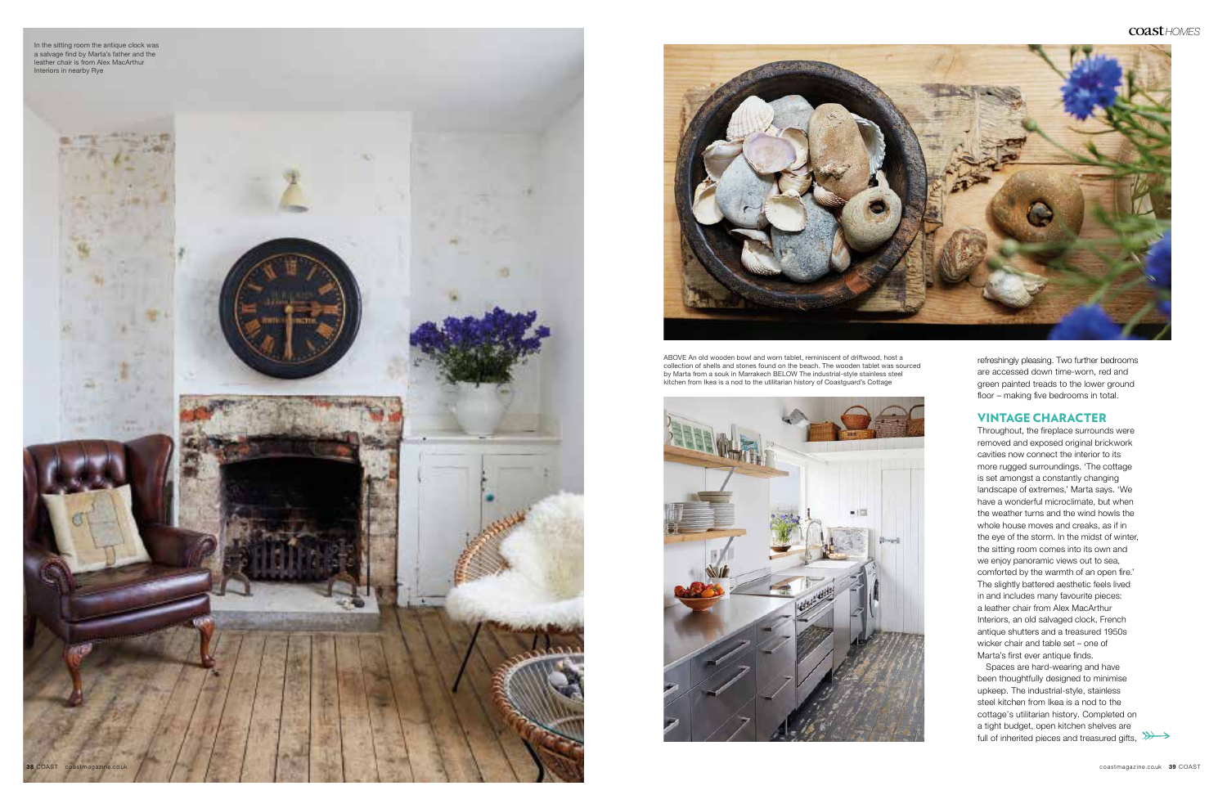

refreshingly pleasing. Two further bedrooms are accessed down time-worn, red and green painted treads to the lower ground floor – making five bedrooms in total.

## VINTAGE CHARACTER

Spaces are hard-wearing and have been thoughtfully designed to minimise upkeep. The industrial-style, stainless steel kitchen from Ikea is a nod to the cottage's utilitarian history. Completed on a tight budget, open kitchen shelves are full of inherited pieces and treasured gifts,  $\gg$ 



Throughout, the fireplace surrounds were removed and exposed original brickwork cavities now connect the interior to its more rugged surroundings. 'The cottage is set amongst a constantly changing landscape of extremes,' Marta says. 'We have a wonderful microclimate, but when the weather turns and the wind howls the whole house moves and creaks, as if in the eye of the storm. In the midst of winter, the sitting room comes into its own and we enjoy panoramic views out to sea, comforted by the warmth of an open fire.' The slightly battered aesthetic feels lived in and includes many favourite pieces: a leather chair from Alex MacArthur Interiors, an old salvaged clock, French antique shutters and a treasured 1950s wicker chair and table set – one of Marta's first ever antique finds.

ABOVE An old wooden bowl and worn tablet, reminiscent of driftwood, host a collection of shells and stones found on the beach. The wooden tablet was sourced by Marta from a souk in Marrakech BELOW The industrial-style stainless steel kitchen from Ikea is a nod to the utilitarian history of Coastguard's Cottage







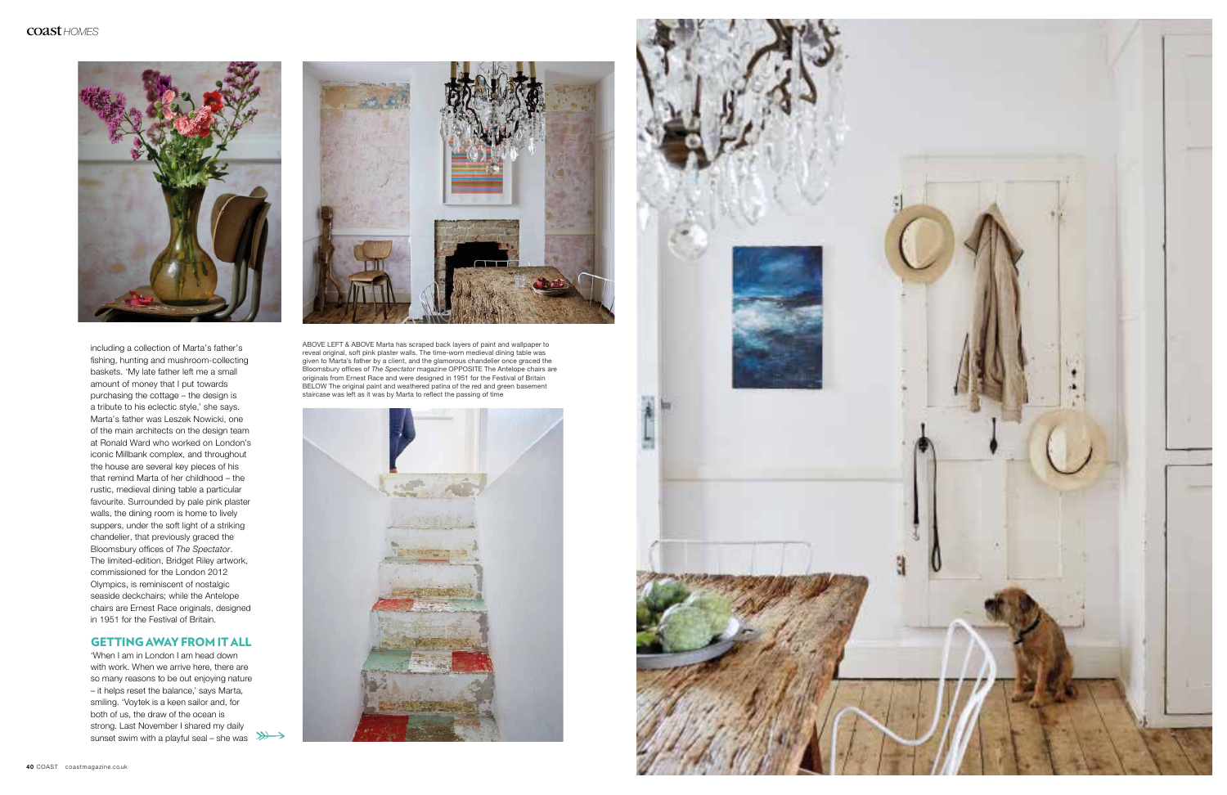

'When I am in London I am head down with work. When we arrive here, there are so many reasons to be out enjoying nature – it helps reset the balance,' says Marta, smiling. 'Voytek is a keen sailor and, for both of us, the draw of the ocean is strong. Last November I shared my daily sunset swim with a playful seal – she was  $\gg$ 



including a collection of Marta's father's fishing, hunting and mushroom-collecting baskets. 'My late father left me a small amount of money that I put towards purchasing the cottage – the design is a tribute to his eclectic style,' she says. Marta's father was Leszek Nowicki, one of the main architects on the design team at Ronald Ward who worked on London's iconic Millbank complex, and throughout the house are several key pieces of his that remind Marta of her childhood – the rustic, medieval dining table a particular favourite. Surrounded by pale pink plaster walls, the dining room is home to lively suppers, under the soft light of a striking chandelier, that previously graced the Bloomsbury offices of *The Spectator*. The limited-edition, Bridget Riley artwork, commissioned for the London 2012 Olympics, is reminiscent of nostalgic seaside deckchairs; while the Antelope chairs are Ernest Race originals, designed in 1951 for the Festival of Britain.

## GETTING AWAY FROM IT ALL

ABOVE LEFT & ABOVE Marta has scraped back layers of paint and wallpaper to reveal original, soft pink plaster walls. The time-worn medieval dining table was given to Marta's father by a client, and the glamorous chandelier once graced the Bloomsbury offices of *The Spectator* magazine OPPOSITE The Antelope chairs are originals from Ernest Race and were designed in 1951 for the Festival of Britain BELOW The original paint and weathered patina of the red and green basement staircase was left as it was by Marta to reflect the passing of time